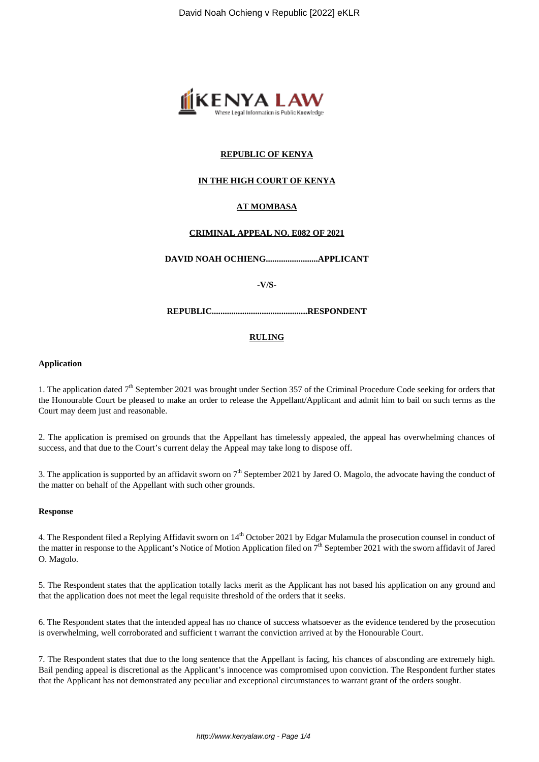

# **REPUBLIC OF KENYA**

# **IN THE HIGH COURT OF KENYA**

# **AT MOMBASA**

#### **CRIMINAL APPEAL NO. E082 OF 2021**

**DAVID NOAH OCHIENG........................APPLICANT**

**-V/S-**

**REPUBLIC............................................RESPONDENT**

#### **RULING**

#### **Application**

1. The application dated  $7<sup>th</sup>$  September 2021 was brought under Section 357 of the Criminal Procedure Code seeking for orders that the Honourable Court be pleased to make an order to release the Appellant/Applicant and admit him to bail on such terms as the Court may deem just and reasonable.

2. The application is premised on grounds that the Appellant has timelessly appealed, the appeal has overwhelming chances of success, and that due to the Court's current delay the Appeal may take long to dispose off.

3. The application is supported by an affidavit sworn on  $7<sup>th</sup>$  September 2021 by Jared O. Magolo, the advocate having the conduct of the matter on behalf of the Appellant with such other grounds.

#### **Response**

4. The Respondent filed a Replying Affidavit sworn on 14<sup>th</sup> October 2021 by Edgar Mulamula the prosecution counsel in conduct of the matter in response to the Applicant's Notice of Motion Application filed on 7<sup>th</sup> September 2021 with the sworn affidavit of Jared O. Magolo.

5. The Respondent states that the application totally lacks merit as the Applicant has not based his application on any ground and that the application does not meet the legal requisite threshold of the orders that it seeks.

6. The Respondent states that the intended appeal has no chance of success whatsoever as the evidence tendered by the prosecution is overwhelming, well corroborated and sufficient t warrant the conviction arrived at by the Honourable Court.

7. The Respondent states that due to the long sentence that the Appellant is facing, his chances of absconding are extremely high. Bail pending appeal is discretional as the Applicant's innocence was compromised upon conviction. The Respondent further states that the Applicant has not demonstrated any peculiar and exceptional circumstances to warrant grant of the orders sought.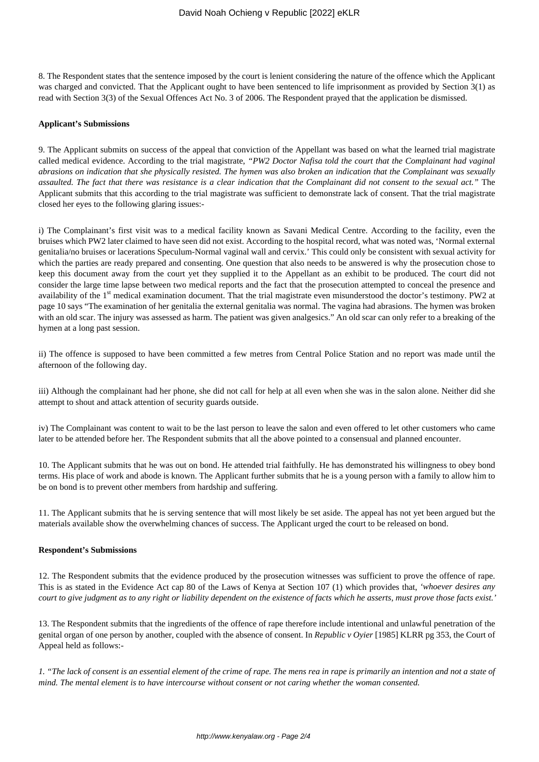8. The Respondent states that the sentence imposed by the court is lenient considering the nature of the offence which the Applicant was charged and convicted. That the Applicant ought to have been sentenced to life imprisonment as provided by Section 3(1) as read with Section 3(3) of the Sexual Offences Act No. 3 of 2006. The Respondent prayed that the application be dismissed.

#### **Applicant's Submissions**

9. The Applicant submits on success of the appeal that conviction of the Appellant was based on what the learned trial magistrate called medical evidence. According to the trial magistrate, *"PW2 Doctor Nafisa told the court that the Complainant had vaginal abrasions on indication that she physically resisted. The hymen was also broken an indication that the Complainant was sexually assaulted. The fact that there was resistance is a clear indication that the Complainant did not consent to the sexual act."* The Applicant submits that this according to the trial magistrate was sufficient to demonstrate lack of consent. That the trial magistrate closed her eyes to the following glaring issues:-

i) The Complainant's first visit was to a medical facility known as Savani Medical Centre. According to the facility, even the bruises which PW2 later claimed to have seen did not exist. According to the hospital record, what was noted was, 'Normal external genitalia/no bruises or lacerations Speculum-Normal vaginal wall and cervix.' This could only be consistent with sexual activity for which the parties are ready prepared and consenting. One question that also needs to be answered is why the prosecution chose to keep this document away from the court yet they supplied it to the Appellant as an exhibit to be produced. The court did not consider the large time lapse between two medical reports and the fact that the prosecution attempted to conceal the presence and availability of the 1<sup>st</sup> medical examination document. That the trial magistrate even misunderstood the doctor's testimony. PW2 at page 10 says "The examination of her genitalia the external genitalia was normal. The vagina had abrasions. The hymen was broken with an old scar. The injury was assessed as harm. The patient was given analgesics." An old scar can only refer to a breaking of the hymen at a long past session.

ii) The offence is supposed to have been committed a few metres from Central Police Station and no report was made until the afternoon of the following day.

iii) Although the complainant had her phone, she did not call for help at all even when she was in the salon alone. Neither did she attempt to shout and attack attention of security guards outside.

iv) The Complainant was content to wait to be the last person to leave the salon and even offered to let other customers who came later to be attended before her. The Respondent submits that all the above pointed to a consensual and planned encounter.

10. The Applicant submits that he was out on bond. He attended trial faithfully. He has demonstrated his willingness to obey bond terms. His place of work and abode is known. The Applicant further submits that he is a young person with a family to allow him to be on bond is to prevent other members from hardship and suffering.

11. The Applicant submits that he is serving sentence that will most likely be set aside. The appeal has not yet been argued but the materials available show the overwhelming chances of success. The Applicant urged the court to be released on bond.

#### **Respondent's Submissions**

12. The Respondent submits that the evidence produced by the prosecution witnesses was sufficient to prove the offence of rape. This is as stated in the Evidence Act cap 80 of the Laws of Kenya at Section 107 (1) which provides that, *'whoever desires any court to give judgment as to any right or liability dependent on the existence of facts which he asserts, must prove those facts exist.'*

13. The Respondent submits that the ingredients of the offence of rape therefore include intentional and unlawful penetration of the genital organ of one person by another, coupled with the absence of consent. In *Republic v Oyier* [1985] KLRR pg 353, the Court of Appeal held as follows:-

*1. "The lack of consent is an essential element of the crime of rape. The mens rea in rape is primarily an intention and not a state of mind. The mental element is to have intercourse without consent or not caring whether the woman consented.*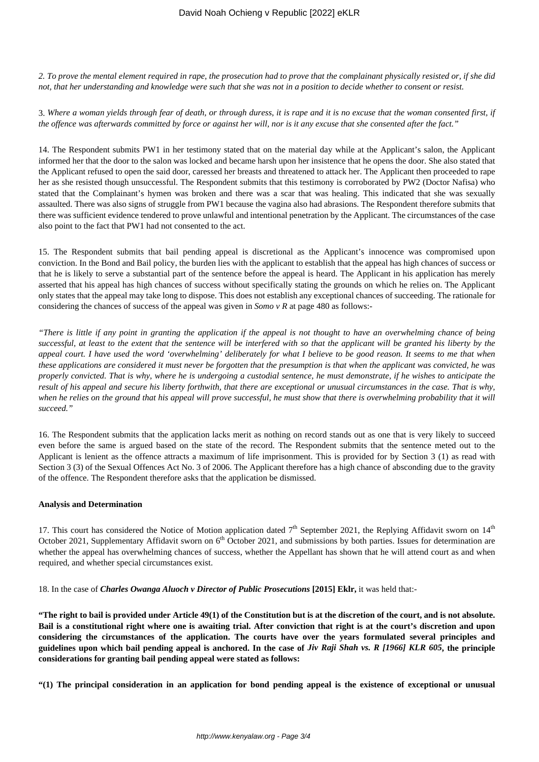*2. To prove the mental element required in rape, the prosecution had to prove that the complainant physically resisted or, if she did not, that her understanding and knowledge were such that she was not in a position to decide whether to consent or resist.*

3. *Where a woman yields through fear of death, or through duress, it is rape and it is no excuse that the woman consented first, if the offence was afterwards committed by force or against her will, nor is it any excuse that she consented after the fact."*

14. The Respondent submits PW1 in her testimony stated that on the material day while at the Applicant's salon, the Applicant informed her that the door to the salon was locked and became harsh upon her insistence that he opens the door. She also stated that the Applicant refused to open the said door, caressed her breasts and threatened to attack her. The Applicant then proceeded to rape her as she resisted though unsuccessful. The Respondent submits that this testimony is corroborated by PW2 (Doctor Nafisa) who stated that the Complainant's hymen was broken and there was a scar that was healing. This indicated that she was sexually assaulted. There was also signs of struggle from PW1 because the vagina also had abrasions. The Respondent therefore submits that there was sufficient evidence tendered to prove unlawful and intentional penetration by the Applicant. The circumstances of the case also point to the fact that PW1 had not consented to the act.

15. The Respondent submits that bail pending appeal is discretional as the Applicant's innocence was compromised upon conviction. In the Bond and Bail policy, the burden lies with the applicant to establish that the appeal has high chances of success or that he is likely to serve a substantial part of the sentence before the appeal is heard. The Applicant in his application has merely asserted that his appeal has high chances of success without specifically stating the grounds on which he relies on. The Applicant only states that the appeal may take long to dispose. This does not establish any exceptional chances of succeeding. The rationale for considering the chances of success of the appeal was given in *Somo v R* at page 480 as follows:-

*"There is little if any point in granting the application if the appeal is not thought to have an overwhelming chance of being successful, at least to the extent that the sentence will be interfered with so that the applicant will be granted his liberty by the appeal court. I have used the word 'overwhelming' deliberately for what I believe to be good reason. It seems to me that when these applications are considered it must never be forgotten that the presumption is that when the applicant was convicted, he was properly convicted. That is why, where he is undergoing a custodial sentence, he must demonstrate, if he wishes to anticipate the result of his appeal and secure his liberty forthwith, that there are exceptional or unusual circumstances in the case. That is why, when he relies on the ground that his appeal will prove successful, he must show that there is overwhelming probability that it will succeed."*

16. The Respondent submits that the application lacks merit as nothing on record stands out as one that is very likely to succeed even before the same is argued based on the state of the record. The Respondent submits that the sentence meted out to the Applicant is lenient as the offence attracts a maximum of life imprisonment. This is provided for by Section 3 (1) as read with Section 3 (3) of the Sexual Offences Act No. 3 of 2006. The Applicant therefore has a high chance of absconding due to the gravity of the offence. The Respondent therefore asks that the application be dismissed.

# **Analysis and Determination**

17. This court has considered the Notice of Motion application dated  $7<sup>th</sup>$  September 2021, the Replying Affidavit sworn on  $14<sup>th</sup>$ October 2021, Supplementary Affidavit sworn on  $6<sup>th</sup>$  October 2021, and submissions by both parties. Issues for determination are whether the appeal has overwhelming chances of success, whether the Appellant has shown that he will attend court as and when required, and whether special circumstances exist.

18. In the case of *Charles Owanga Aluoch v Director of Public Prosecutions* **[2015] Eklr,** it was held that:-

**"The right to bail is provided under Article 49(1) of the Constitution but is at the discretion of the court, and is not absolute. Bail is a constitutional right where one is awaiting trial. After conviction that right is at the court's discretion and upon considering the circumstances of the application. The courts have over the years formulated several principles and guidelines upon which bail pending appeal is anchored. In the case of** *Jiv Raji Shah vs. R [1966] KLR 605***, the principle considerations for granting bail pending appeal were stated as follows:**

**"(1) The principal consideration in an application for bond pending appeal is the existence of exceptional or unusual**